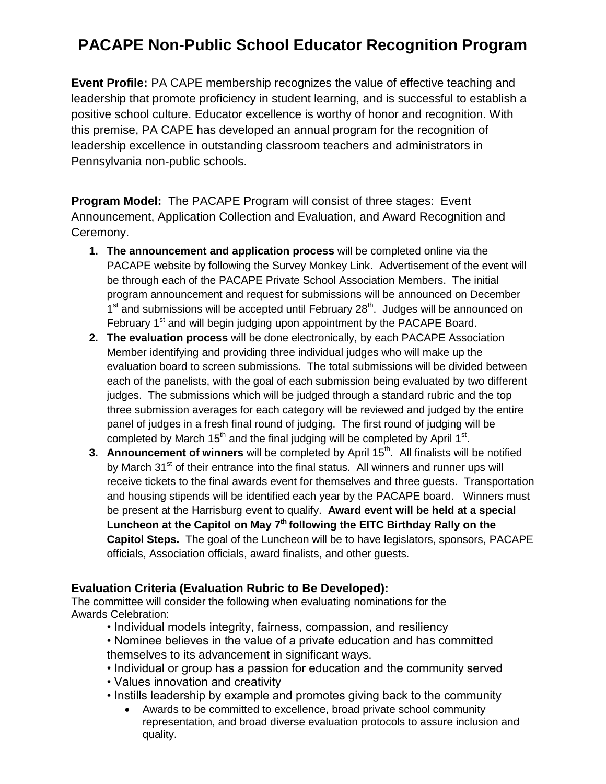# **PACAPE Non-Public School Educator Recognition Program**

**Event Profile:** PA CAPE membership recognizes the value of effective teaching and leadership that promote proficiency in student learning, and is successful to establish a positive school culture. Educator excellence is worthy of honor and recognition. With this premise, PA CAPE has developed an annual program for the recognition of leadership excellence in outstanding classroom teachers and administrators in Pennsylvania non-public schools.

**Program Model:** The PACAPE Program will consist of three stages: Event Announcement, Application Collection and Evaluation, and Award Recognition and Ceremony.

- **1. The announcement and application process** will be completed online via the PACAPE website by following the Survey Monkey Link. Advertisement of the event will be through each of the PACAPE Private School Association Members. The initial program announcement and request for submissions will be announced on December 1<sup>st</sup> and submissions will be accepted until February 28<sup>th</sup>. Judges will be announced on February 1<sup>st</sup> and will begin judging upon appointment by the PACAPE Board.
- **2. The evaluation process** will be done electronically, by each PACAPE Association Member identifying and providing three individual judges who will make up the evaluation board to screen submissions. The total submissions will be divided between each of the panelists, with the goal of each submission being evaluated by two different judges. The submissions which will be judged through a standard rubric and the top three submission averages for each category will be reviewed and judged by the entire panel of judges in a fresh final round of judging. The first round of judging will be completed by March 15<sup>th</sup> and the final judging will be completed by April 1<sup>st</sup>.
- **3. Announcement of winners** will be completed by April 15<sup>th</sup>. All finalists will be notified by March 31<sup>st</sup> of their entrance into the final status. All winners and runner ups will receive tickets to the final awards event for themselves and three guests. Transportation and housing stipends will be identified each year by the PACAPE board. Winners must be present at the Harrisburg event to qualify. **Award event will be held at a special**  Luncheon at the Capitol on May 7<sup>th</sup> following the EITC Birthday Rally on the **Capitol Steps.** The goal of the Luncheon will be to have legislators, sponsors, PACAPE officials, Association officials, award finalists, and other guests.

### **Evaluation Criteria (Evaluation Rubric to Be Developed):**

The committee will consider the following when evaluating nominations for the Awards Celebration:

- Individual models integrity, fairness, compassion, and resiliency
- Nominee believes in the value of a private education and has committed themselves to its advancement in significant ways.
- Individual or group has a passion for education and the community served
- Values innovation and creativity
- Instills leadership by example and promotes giving back to the community
	- Awards to be committed to excellence, broad private school community representation, and broad diverse evaluation protocols to assure inclusion and quality.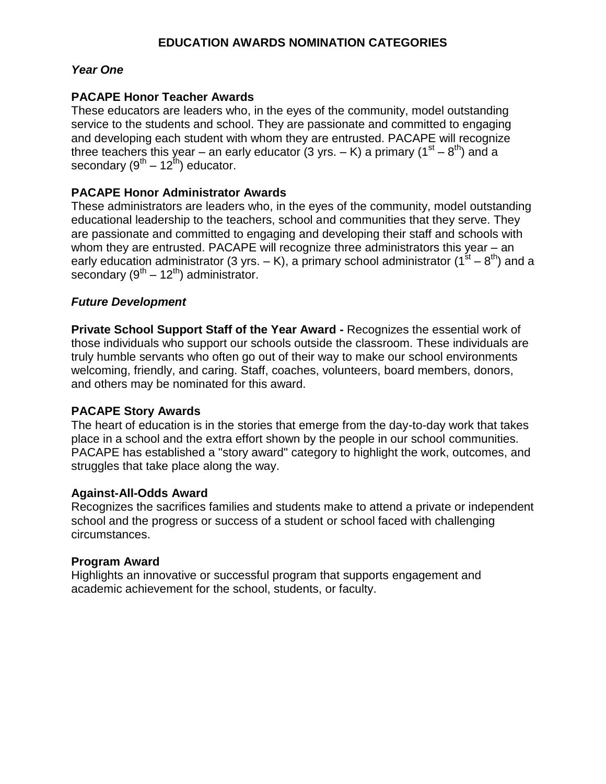### **EDUCATION AWARDS NOMINATION CATEGORIES**

### *Year One*

### **PACAPE Honor Teacher Awards**

These educators are leaders who, in the eyes of the community, model outstanding service to the students and school. They are passionate and committed to engaging and developing each student with whom they are entrusted. PACAPE will recognize three teachers this year – an early educator (3 yrs. – K) a primary (1<sup>st</sup> – 8<sup>th</sup>) and a secondary (9<sup>th</sup> – 12<sup>th</sup>) educator.

### **PACAPE Honor Administrator Awards**

These administrators are leaders who, in the eyes of the community, model outstanding educational leadership to the teachers, school and communities that they serve. They are passionate and committed to engaging and developing their staff and schools with whom they are entrusted. PACAPE will recognize three administrators this year – an early education administrator (3 yrs. – K), a primary school administrator (1<sup>st</sup> – 8<sup>th</sup>) and a secondary ( $9^{th} - 12^{th}$ ) administrator.

### *Future Development*

**Private School Support Staff of the Year Award -** Recognizes the essential work of those individuals who support our schools outside the classroom. These individuals are truly humble servants who often go out of their way to make our school environments welcoming, friendly, and caring. Staff, coaches, volunteers, board members, donors, and others may be nominated for this award.

### **PACAPE Story Awards**

The heart of education is in the stories that emerge from the day-to-day work that takes place in a school and the extra effort shown by the people in our school communities. PACAPE has established a "story award" category to highlight the work, outcomes, and struggles that take place along the way.

### **Against-All-Odds Award**

Recognizes the sacrifices families and students make to attend a private or independent school and the progress or success of a student or school faced with challenging circumstances.

### **Program Award**

Highlights an innovative or successful program that supports engagement and academic achievement for the school, students, or faculty.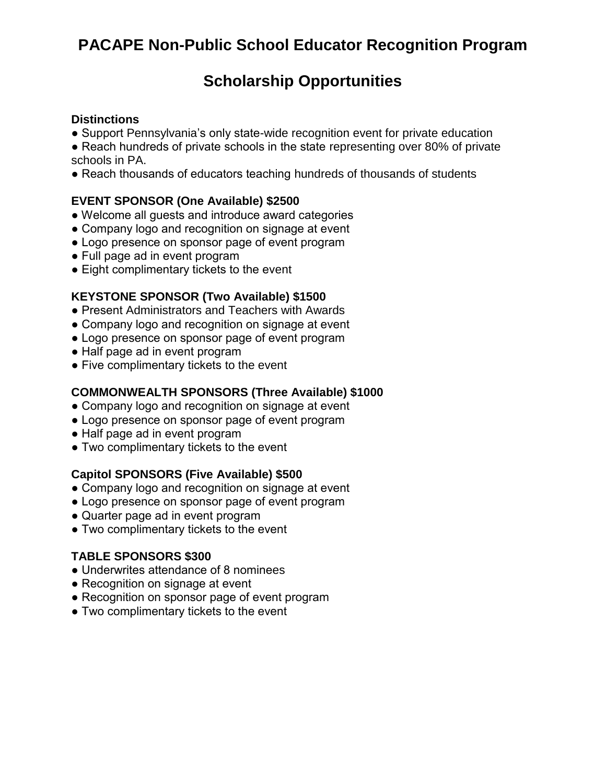# **PACAPE Non-Public School Educator Recognition Program**

## **Scholarship Opportunities**

### **Distinctions**

- Support Pennsylvania's only state-wide recognition event for private education
- Reach hundreds of private schools in the state representing over 80% of private schools in PA.
- Reach thousands of educators teaching hundreds of thousands of students

### **EVENT SPONSOR (One Available) \$2500**

- Welcome all guests and introduce award categories
- Company logo and recognition on signage at event
- Logo presence on sponsor page of event program
- Full page ad in event program
- Eight complimentary tickets to the event

### **KEYSTONE SPONSOR (Two Available) \$1500**

- Present Administrators and Teachers with Awards
- Company logo and recognition on signage at event
- Logo presence on sponsor page of event program
- Half page ad in event program
- Five complimentary tickets to the event

### **COMMONWEALTH SPONSORS (Three Available) \$1000**

- Company logo and recognition on signage at event
- Logo presence on sponsor page of event program
- Half page ad in event program
- Two complimentary tickets to the event

### **Capitol SPONSORS (Five Available) \$500**

- Company logo and recognition on signage at event
- Logo presence on sponsor page of event program
- Quarter page ad in event program
- Two complimentary tickets to the event

### **TABLE SPONSORS \$300**

- Underwrites attendance of 8 nominees
- Recognition on signage at event
- Recognition on sponsor page of event program
- Two complimentary tickets to the event